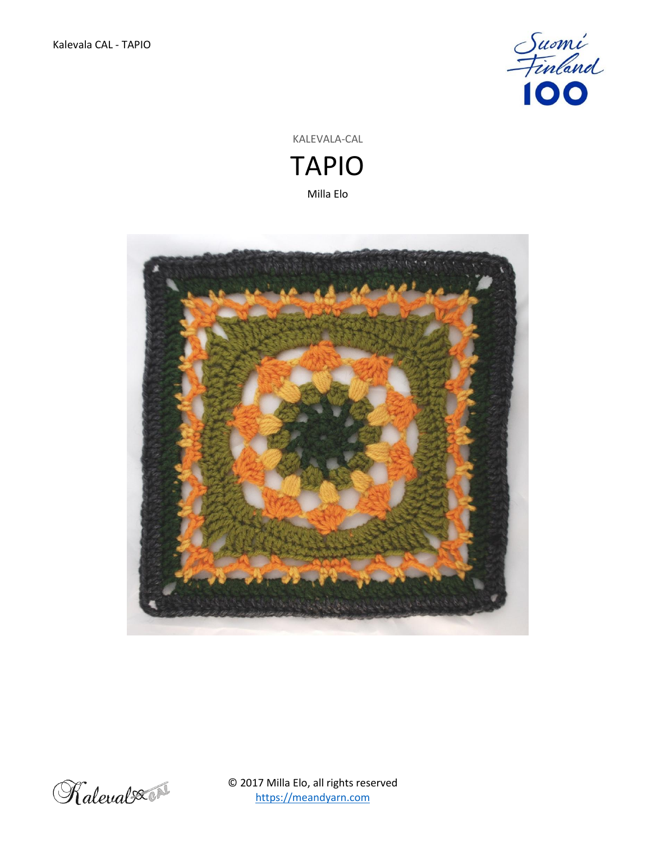

KALEVALA-CAL TAPIO

Milla Elo





© 2017 Milla Elo, all rights reserved [https://meandyarn.com](https://meandyarn.com/)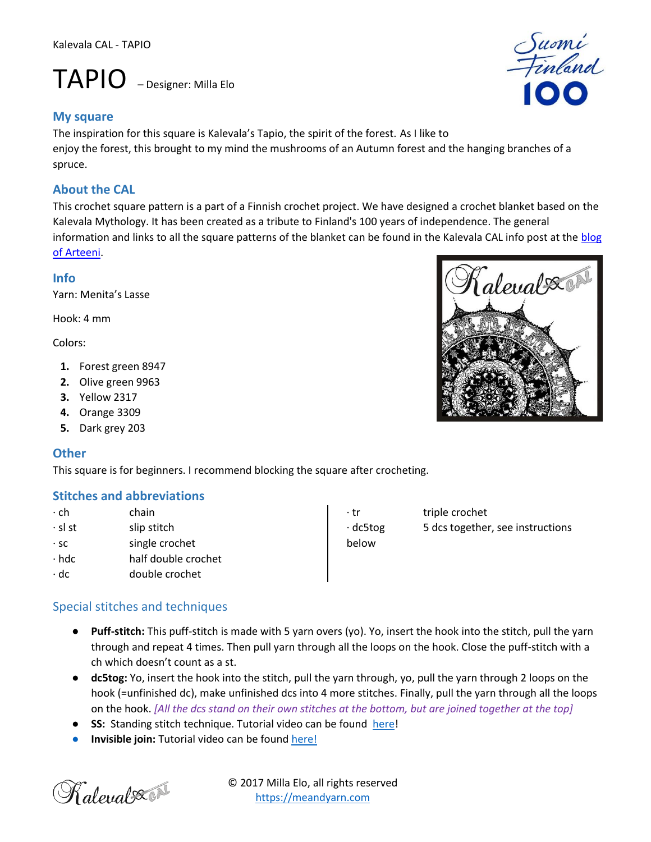# TAPIO – Designer: Milla Elo

#### **My square**

The inspiration for this square is Kalevala's Tapio, the spirit of the forest. As I like to enjoy the forest, this brought to my mind the mushrooms of an Autumn forest and the hanging branches of a spruce.

## **About the CAL**

This crochet square pattern is a part of a Finnish crochet project. We have designed a crochet blanket based on the Kalevala Mythology. It has been created as a tribute to Finland's 100 years of independence. The general information and links to all the square patterns of the blanket can be found in the Kalevala CAL info post at the [blog](http://www.arteeni.fi/kalevalacal-en)  [of Arteeni.](http://www.arteeni.fi/kalevalacal-en)

#### **Info**

Yarn: Menita's Lasse

Hook: 4 mm

Colors:

- **1.** Forest green 8947
- **2.** Olive green 9963
- **3.** Yellow 2317
- **4.** Orange 3309
- **5.** Dark grey 203

## **Other**

This square is for beginners. I recommend blocking the square after crocheting.

## **Stitches and abbreviations**

- ∙ ch chain ∙ sl st slip stitch ∙ sc single crochet ∙ hdc half double crochet
- ∙ dc double crochet

## Special stitches and techniques

- **Puff-stitch:** This puff-stitch is made with 5 yarn overs (yo). Yo, insert the hook into the stitch, pull the yarn through and repeat 4 times. Then pull yarn through all the loops on the hook. Close the puff-stitch with a ch which doesn't count as a st.
- **dc5tog:** Yo, insert the hook into the stitch, pull the yarn through, yo, pull the yarn through 2 loops on the hook (=unfinished dc), make unfinished dcs into 4 more stitches. Finally, pull the yarn through all the loops on the hook. *[All the dcs stand on their own stitches at the bottom, but are joined together at the top]*
- **SS:** Standing stitch technique. Tutorial video can be found [here!](https://www.youtube.com/watch?v=VBp-bO2EQRE)
- **Invisible join:** Tutorial video can be found [here!](https://www.youtube.com/watch?v=bsHggQGFq3A)







∙ tr triple crochet ∙ dc5tog 5 dcs together, see instructions below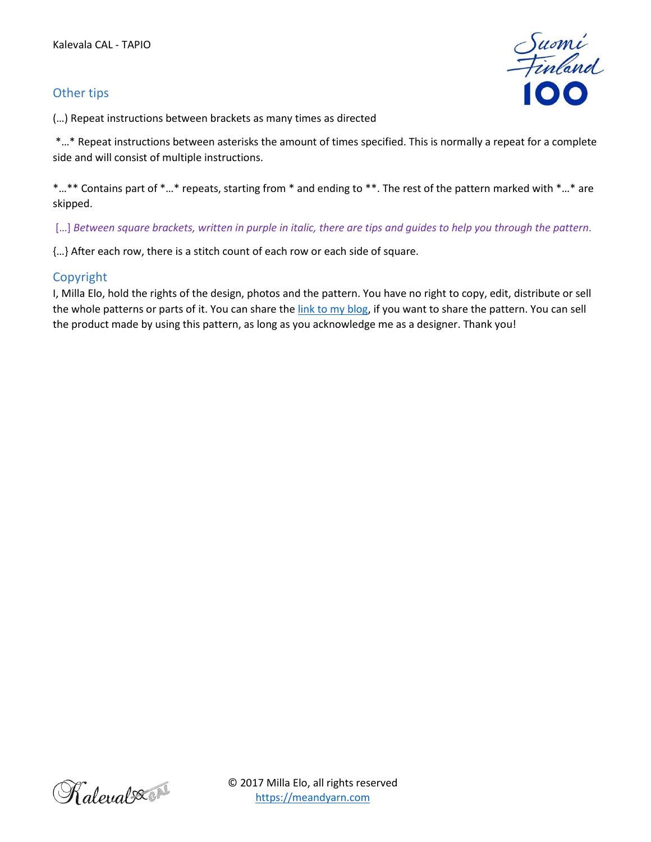## Other tips

Suomi<br>Finland

(…) Repeat instructions between brackets as many times as directed

\*…\* Repeat instructions between asterisks the amount of times specified. This is normally a repeat for a complete side and will consist of multiple instructions.

\*...\*\* Contains part of \*...\* repeats, starting from \* and ending to \*\*. The rest of the pattern marked with \*...\* are skipped.

[...] *Between square brackets, written in purple in italic, there are tips and quides to help you through the pattern.* 

{…} After each row, there is a stitch count of each row or each side of square.

#### Copyright

I, Milla Elo, hold the rights of the design, photos and the pattern. You have no right to copy, edit, distribute or sell the whole patterns or parts of it. You can share the [link to my blog,](http://meandyarn.com/) if you want to share the pattern. You can sell the product made by using this pattern, as long as you acknowledge me as a designer. Thank you!

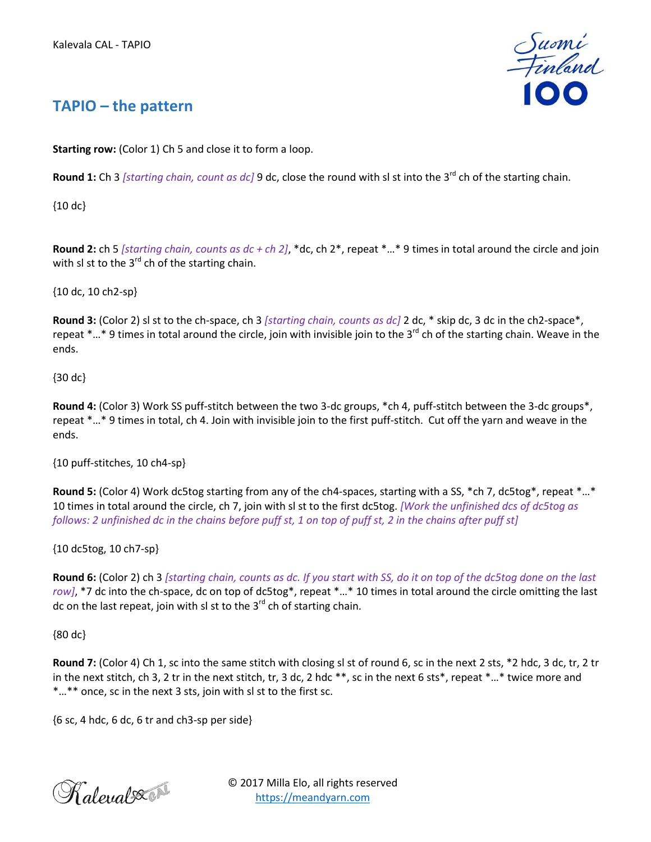

## **TAPIO – the pattern**

**Starting row:** (Color 1) Ch 5 and close it to form a loop.

**Round 1:** Ch 3 *[starting chain, count as dc]* 9 dc, close the round with sl st into the 3<sup>rd</sup> ch of the starting chain.

{10 dc}

**Round 2:** ch 5 *[starting chain, counts as dc + ch 2]*, \*dc, ch 2\*, repeat \*…\* 9 times in total around the circle and join with sl st to the  $3<sup>rd</sup>$  ch of the starting chain.

{10 dc, 10 ch2-sp}

**Round 3:** (Color 2) sl st to the ch-space, ch 3 *[starting chain, counts as dc]* 2 dc, \* skip dc, 3 dc in the ch2-space\*, repeat  $...$ \* 9 times in total around the circle, join with invisible join to the 3<sup>rd</sup> ch of the starting chain. Weave in the ends.

{30 dc}

**Round 4:** (Color 3) Work SS puff-stitch between the two 3-dc groups, \*ch 4, puff-stitch between the 3-dc groups\*, repeat \*…\* 9 times in total, ch 4. Join with invisible join to the first puff-stitch. Cut off the yarn and weave in the ends.

{10 puff-stitches, 10 ch4-sp}

**Round 5:** (Color 4) Work dc5tog starting from any of the ch4-spaces, starting with a SS, \*ch 7, dc5tog\*, repeat \*…\* 10 times in total around the circle, ch 7, join with sl st to the first dc5tog. *[Work the unfinished dcs of dc5tog as follows: 2 unfinished dc in the chains before puff st, 1 on top of puff st, 2 in the chains after puff st]*

{10 dc5tog, 10 ch7-sp}

**Round 6:** (Color 2) ch 3 *[starting chain, counts as dc. If you start with SS, do it on top of the dc5tog done on the last row]*, \*7 dc into the ch-space, dc on top of dc5tog\*, repeat \*…\* 10 times in total around the circle omitting the last dc on the last repeat, join with sl st to the  $3^{rd}$  ch of starting chain.

{80 dc}

**Round 7:** (Color 4) Ch 1, sc into the same stitch with closing sl st of round 6, sc in the next 2 sts, \*2 hdc, 3 dc, tr, 2 tr in the next stitch, ch 3, 2 tr in the next stitch, tr, 3 dc, 2 hdc \*\*, sc in the next 6 sts\*, repeat \*…\* twice more and \*…\*\* once, sc in the next 3 sts, join with sl st to the first sc.

 ${6 \text{ sc}, 4 \text{ hdc}, 6 \text{ dc}, 6 \text{ tr} \text{ and } \text{ch}3\text{-sp} \text{ per side}}$ 



© 2017 Milla Elo, all rights reserved [https://meandyarn.com](https://meandyarn.com/)